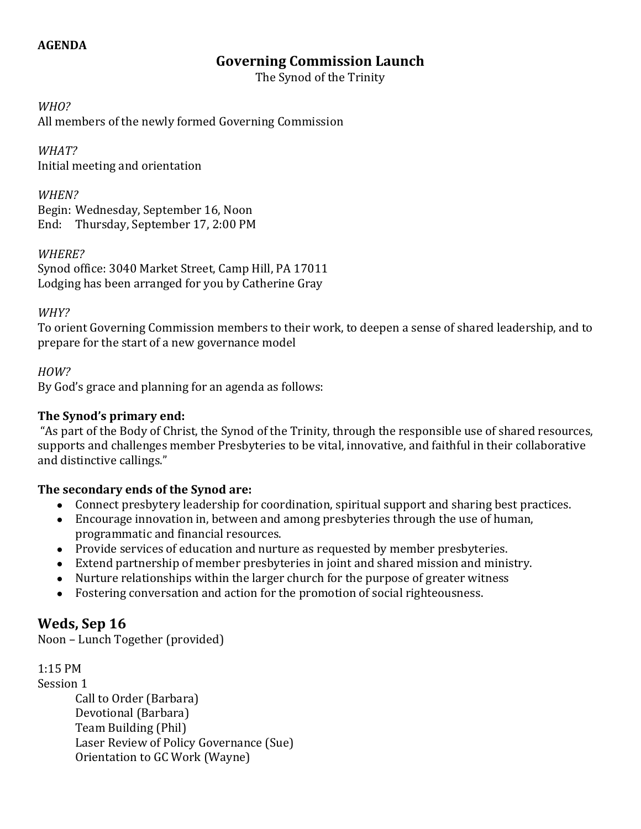#### **AGENDA**

## **Governing Commission Launch**

The Synod of the Trinity

*WHO?*

All members of the newly formed Governing Commission

*WHAT?* Initial meeting and orientation

*WHEN?* Begin: Wednesday, September 16, Noon End: Thursday, September 17, 2:00 PM

#### *WHERE?*

Synod office: 3040 Market Street, Camp Hill, PA 17011 Lodging has been arranged for you by Catherine Gray

#### *WHY?*

To orient Governing Commission members to their work, to deepen a sense of shared leadership, and to prepare for the start of a new governance model

## *HOW?*

By God's grace and planning for an agenda as follows:

#### **The Synod's primary end:**

"As part of the Body of Christ, the Synod of the Trinity, through the responsible use of shared resources, supports and challenges member Presbyteries to be vital, innovative, and faithful in their collaborative and distinctive callings."

## **The secondary ends of the Synod are:**

- Connect presbytery leadership for coordination, spiritual support and sharing best practices.
- Encourage innovation in, between and among presbyteries through the use of human, programmatic and financial resources.
- Provide services of education and nurture as requested by member presbyteries.
- Extend partnership of member presbyteries in joint and shared mission and ministry.
- Nurture relationships within the larger church for the purpose of greater witness
- Fostering conversation and action for the promotion of social righteousness.

## **Weds, Sep 16**

Noon – Lunch Together (provided)

1:15 PM Session 1 Call to Order (Barbara) Devotional (Barbara) Team Building (Phil) Laser Review of Policy Governance (Sue) Orientation to GC Work (Wayne)